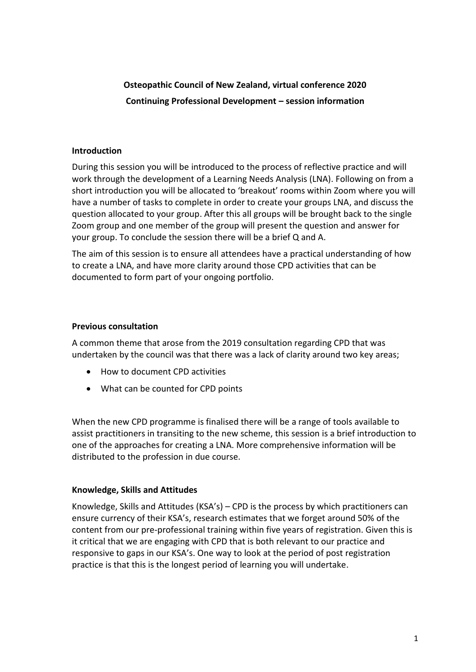# **Osteopathic Council of New Zealand, virtual conference 2020 Continuing Professional Development – session information**

### **Introduction**

During this session you will be introduced to the process of reflective practice and will work through the development of a Learning Needs Analysis (LNA). Following on from a short introduction you will be allocated to 'breakout' rooms within Zoom where you will have a number of tasks to complete in order to create your groups LNA, and discuss the question allocated to your group. After this all groups will be brought back to the single Zoom group and one member of the group will present the question and answer for your group. To conclude the session there will be a brief Q and A.

The aim of this session is to ensure all attendees have a practical understanding of how to create a LNA, and have more clarity around those CPD activities that can be documented to form part of your ongoing portfolio.

### **Previous consultation**

A common theme that arose from the 2019 consultation regarding CPD that was undertaken by the council was that there was a lack of clarity around two key areas;

- How to document CPD activities
- What can be counted for CPD points

When the new CPD programme is finalised there will be a range of tools available to assist practitioners in transiting to the new scheme, this session is a brief introduction to one of the approaches for creating a LNA. More comprehensive information will be distributed to the profession in due course.

## **Knowledge, Skills and Attitudes**

Knowledge, Skills and Attitudes (KSA's) – CPD is the process by which practitioners can ensure currency of their KSA's, research estimates that we forget around 50% of the content from our pre-professional training within five years of registration. Given this is it critical that we are engaging with CPD that is both relevant to our practice and responsive to gaps in our KSA's. One way to look at the period of post registration practice is that this is the longest period of learning you will undertake.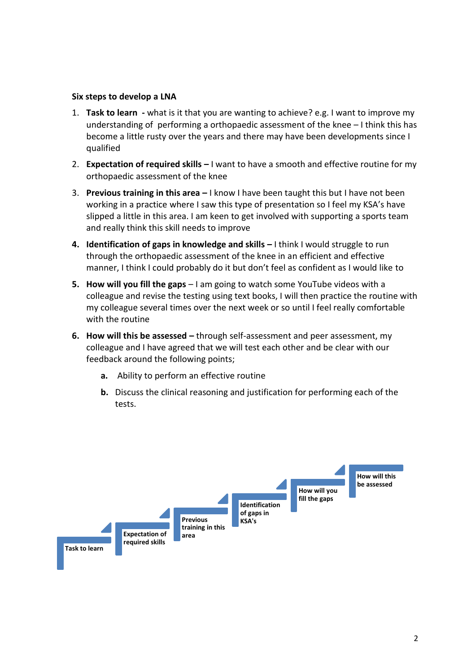#### **Six steps to develop a LNA**

- 1. **Task to learn -** what is it that you are wanting to achieve? e.g. I want to improve my understanding of performing a orthopaedic assessment of the knee  $-1$  think this has become a little rusty over the years and there may have been developments since I qualified
- 2. **Expectation of required skills –** I want to have a smooth and effective routine for my orthopaedic assessment of the knee
- 3. **Previous training in this area –** I know I have been taught this but I have not been working in a practice where I saw this type of presentation so I feel my KSA's have slipped a little in this area. I am keen to get involved with supporting a sports team and really think this skill needs to improve
- **4. Identification of gaps in knowledge and skills –** I think I would struggle to run through the orthopaedic assessment of the knee in an efficient and effective manner, I think I could probably do it but don't feel as confident as I would like to
- **5. How will you fill the gaps**  I am going to watch some YouTube videos with a colleague and revise the testing using text books, I will then practice the routine with my colleague several times over the next week or so until I feel really comfortable with the routine
- **6. How will this be assessed –** through self-assessment and peer assessment, my colleague and I have agreed that we will test each other and be clear with our feedback around the following points;
	- **a.** Ability to perform an effective routine
	- **b.** Discuss the clinical reasoning and justification for performing each of the tests.

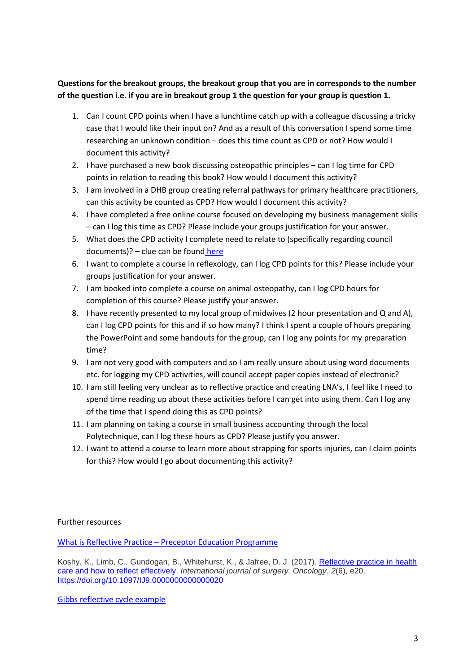**Questions for the breakout groups, the breakout group that you are in corresponds to the number of the question i.e. if you are in breakout group 1 the question for your group is question 1.**

- 1. Can I count CPD points when I have a lunchtime catch up with a colleague discussing a tricky case that I would like their input on? And as a result of this conversation I spend some time researching an unknown condition – does this time count as CPD or not? How would I document this activity?
- 2. I have purchased a new book discussing osteopathic principles can I log time for CPD points in relation to reading this book? How would I document this activity?
- 3. I am involved in a DHB group creating referral pathways for primary healthcare practitioners, can this activity be counted as CPD? How would I document this activity?
- 4. I have completed a free online course focused on developing my business management skills – can I log this time as CPD? Please include your groups justification for your answer.
- 5. What does the CPD activity I complete need to relate to (specifically regarding council documents)? – clue can be found [here](https://www.osteopathiccouncil.org.nz/images/stories/pdf/new/Capabilities_April52013.pdf)
- 6. I want to complete a course in reflexology, can I log CPD points for this? Please include your groups justification for your answer.
- 7. I am booked into complete a course on animal osteopathy, can I log CPD hours for completion of this course? Please justify your answer.
- 8. I have recently presented to my local group of midwives (2 hour presentation and Q and A), can I log CPD points for this and if so how many? I think I spent a couple of hours preparing the PowerPoint and some handouts for the group, can I log any points for my preparation time?
- 9. I am not very good with computers and so I am really unsure about using word documents etc. for logging my CPD activities, will council accept paper copies instead of electronic?
- 10. I am still feeling very unclear as to reflective practice and creating LNA's, I feel like I need to spend time reading up about these activities before I can get into using them. Can I log any of the time that I spend doing this as CPD points?
- 11. I am planning on taking a course in small business accounting through the local Polytechnique, can I log these hours as CPD? Please justify you answer.
- 12. I want to attend a course to learn more about strapping for sports injuries, can I claim points for this? How would I go about documenting this activity?

Further resources

What is Reflective Practice – [Preceptor Education Programme](https://www.youtube.com/watch?v=eHKSR_6aym8)

Koshy, K., Limb, C., Gundogan, B., Whitehurst, K., & Jafree, D. J. (2017). [Reflective practice in health](https://www.ncbi.nlm.nih.gov/pmc/articles/PMC5673148/)  [care and how to reflect effectively.](https://www.ncbi.nlm.nih.gov/pmc/articles/PMC5673148/) *International journal of surgery. Oncology*, *2*(6), e20. <https://doi.org/10.1097/IJ9.0000000000000020>

[Gibbs reflective cycle example](https://nursinganswers.net/services/samples/2-1-nursing-reflective-practice-essay.php)